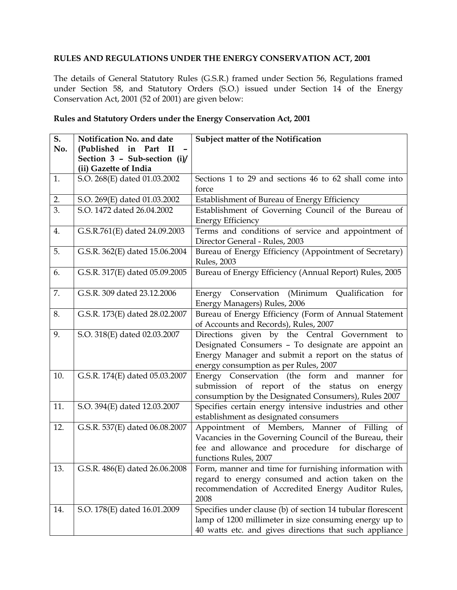## **RULES AND REGULATIONS UNDER THE ENERGY CONSERVATION ACT, 2001**

The details of General Statutory Rules (G.S.R.) framed under Section 56, Regulations framed under Section 58, and Statutory Orders (S.O.) issued under Section 14 of the Energy Conservation Act, 2001 (52 of 2001) are given below:

| Rules and Statutory Orders under the Energy Conservation Act, 2001 |  |
|--------------------------------------------------------------------|--|
|                                                                    |  |

| S.               | Notification No. and date      | Subject matter of the Notification                          |
|------------------|--------------------------------|-------------------------------------------------------------|
| No.              | (Published in Part II          |                                                             |
|                  | Section 3 - Sub-section (i)/   |                                                             |
|                  | (ii) Gazette of India          |                                                             |
| 1.               | S.O. 268(E) dated 01.03.2002   | Sections 1 to 29 and sections 46 to 62 shall come into      |
|                  |                                | force                                                       |
| 2.               | S.O. 269(E) dated 01.03.2002   | Establishment of Bureau of Energy Efficiency                |
| $\overline{3}$ . | S.O. 1472 dated 26.04.2002     | Establishment of Governing Council of the Bureau of         |
|                  |                                | <b>Energy Efficiency</b>                                    |
| 4.               | G.S.R.761(E) dated 24.09.2003  | Terms and conditions of service and appointment of          |
|                  |                                | Director General - Rules, 2003                              |
| 5.               | G.S.R. 362(E) dated 15.06.2004 | Bureau of Energy Efficiency (Appointment of Secretary)      |
|                  |                                | <b>Rules</b> , 2003                                         |
| 6.               | G.S.R. 317(E) dated 05.09.2005 | Bureau of Energy Efficiency (Annual Report) Rules, 2005     |
|                  |                                |                                                             |
| 7.               | G.S.R. 309 dated 23.12.2006    | Energy Conservation (Minimum<br>Qualification for           |
|                  |                                | Energy Managers) Rules, 2006                                |
| 8.               | G.S.R. 173(E) dated 28.02.2007 | Bureau of Energy Efficiency (Form of Annual Statement       |
|                  |                                | of Accounts and Records), Rules, 2007                       |
| 9.               | S.O. 318(E) dated 02.03.2007   | Directions given by the Central Government to               |
|                  |                                | Designated Consumers - To designate are appoint an          |
|                  |                                | Energy Manager and submit a report on the status of         |
|                  |                                | energy consumption as per Rules, 2007                       |
| 10.              | G.S.R. 174(E) dated 05.03.2007 | Energy Conservation (the form and manner for                |
|                  |                                | submission of report of the status on energy                |
|                  |                                | consumption by the Designated Consumers), Rules 2007        |
| 11.              | S.O. 394(E) dated 12.03.2007   | Specifies certain energy intensive industries and other     |
|                  |                                | establishment as designated consumers                       |
| 12.              | G.S.R. 537(E) dated 06.08.2007 | Appointment of Members, Manner of Filling of                |
|                  |                                | Vacancies in the Governing Council of the Bureau, their     |
|                  |                                | fee and allowance and procedure for discharge of            |
|                  |                                | functions Rules, 2007                                       |
| 13.              | G.S.R. 486(E) dated 26.06.2008 | Form, manner and time for furnishing information with       |
|                  |                                | regard to energy consumed and action taken on the           |
|                  |                                | recommendation of Accredited Energy Auditor Rules,          |
|                  |                                | 2008                                                        |
| 14.              | S.O. 178(E) dated 16.01.2009   | Specifies under clause (b) of section 14 tubular florescent |
|                  |                                | lamp of 1200 millimeter in size consuming energy up to      |
|                  |                                | 40 watts etc. and gives directions that such appliance      |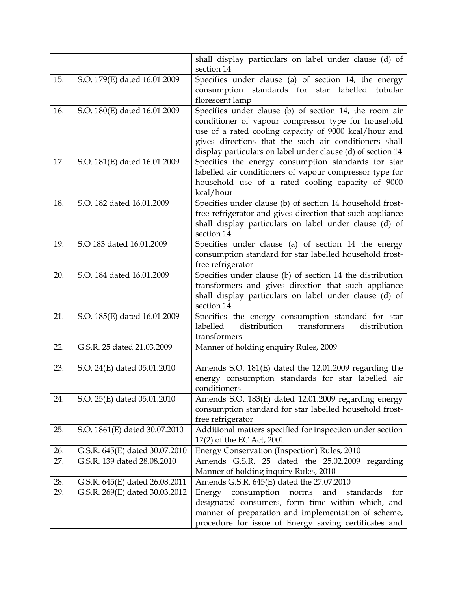|                          |                                                                                                                                   | shall display particulars on label under clause (d) of<br>section 14                                                                                                                                                                                                                                                                                                                                                                                 |
|--------------------------|-----------------------------------------------------------------------------------------------------------------------------------|------------------------------------------------------------------------------------------------------------------------------------------------------------------------------------------------------------------------------------------------------------------------------------------------------------------------------------------------------------------------------------------------------------------------------------------------------|
| 15.                      | S.O. 179(E) dated 16.01.2009                                                                                                      | Specifies under clause (a) of section 14, the energy                                                                                                                                                                                                                                                                                                                                                                                                 |
|                          |                                                                                                                                   | consumption standards for star labelled<br>tubular                                                                                                                                                                                                                                                                                                                                                                                                   |
|                          |                                                                                                                                   | florescent lamp                                                                                                                                                                                                                                                                                                                                                                                                                                      |
| 16.                      | S.O. 180(E) dated 16.01.2009                                                                                                      | Specifies under clause (b) of section 14, the room air                                                                                                                                                                                                                                                                                                                                                                                               |
|                          |                                                                                                                                   | conditioner of vapour compressor type for household                                                                                                                                                                                                                                                                                                                                                                                                  |
|                          |                                                                                                                                   | use of a rated cooling capacity of 9000 kcal/hour and                                                                                                                                                                                                                                                                                                                                                                                                |
|                          |                                                                                                                                   | gives directions that the such air conditioners shall                                                                                                                                                                                                                                                                                                                                                                                                |
|                          |                                                                                                                                   | display particulars on label under clause (d) of section 14                                                                                                                                                                                                                                                                                                                                                                                          |
| 17.                      | S.O. 181(E) dated 16.01.2009                                                                                                      | Specifies the energy consumption standards for star                                                                                                                                                                                                                                                                                                                                                                                                  |
|                          |                                                                                                                                   | labelled air conditioners of vapour compressor type for                                                                                                                                                                                                                                                                                                                                                                                              |
|                          |                                                                                                                                   | household use of a rated cooling capacity of 9000                                                                                                                                                                                                                                                                                                                                                                                                    |
|                          |                                                                                                                                   | kcal/hour                                                                                                                                                                                                                                                                                                                                                                                                                                            |
| 18.                      | S.O. 182 dated 16.01.2009                                                                                                         | Specifies under clause (b) of section 14 household frost-                                                                                                                                                                                                                                                                                                                                                                                            |
|                          |                                                                                                                                   | free refrigerator and gives direction that such appliance                                                                                                                                                                                                                                                                                                                                                                                            |
|                          |                                                                                                                                   | shall display particulars on label under clause (d) of                                                                                                                                                                                                                                                                                                                                                                                               |
|                          |                                                                                                                                   | section 14                                                                                                                                                                                                                                                                                                                                                                                                                                           |
| 19.                      | S.O 183 dated 16.01.2009                                                                                                          | Specifies under clause (a) of section 14 the energy                                                                                                                                                                                                                                                                                                                                                                                                  |
|                          |                                                                                                                                   | consumption standard for star labelled household frost-                                                                                                                                                                                                                                                                                                                                                                                              |
| 20.                      | S.O. 184 dated 16.01.2009                                                                                                         | free refrigerator<br>Specifies under clause (b) of section 14 the distribution                                                                                                                                                                                                                                                                                                                                                                       |
|                          |                                                                                                                                   | transformers and gives direction that such appliance                                                                                                                                                                                                                                                                                                                                                                                                 |
|                          |                                                                                                                                   | shall display particulars on label under clause (d) of                                                                                                                                                                                                                                                                                                                                                                                               |
|                          |                                                                                                                                   | section 14                                                                                                                                                                                                                                                                                                                                                                                                                                           |
| 21.                      | S.O. 185(E) dated 16.01.2009                                                                                                      | Specifies the energy consumption standard for star                                                                                                                                                                                                                                                                                                                                                                                                   |
|                          |                                                                                                                                   | transformers<br>labelled<br>distribution<br>distribution                                                                                                                                                                                                                                                                                                                                                                                             |
|                          |                                                                                                                                   | transformers                                                                                                                                                                                                                                                                                                                                                                                                                                         |
| 22.                      | G.S.R. 25 dated 21.03.2009                                                                                                        | Manner of holding enquiry Rules, 2009                                                                                                                                                                                                                                                                                                                                                                                                                |
| 23.                      | S.O. 24(E) dated 05.01.2010                                                                                                       | Amends S.O. 181(E) dated the 12.01.2009 regarding the                                                                                                                                                                                                                                                                                                                                                                                                |
|                          |                                                                                                                                   | energy consumption standards for star labelled air                                                                                                                                                                                                                                                                                                                                                                                                   |
|                          |                                                                                                                                   | conditioners                                                                                                                                                                                                                                                                                                                                                                                                                                         |
| 24.                      | S.O. 25(E) dated 05.01.2010                                                                                                       | Amends S.O. 183(E) dated 12.01.2009 regarding energy                                                                                                                                                                                                                                                                                                                                                                                                 |
|                          |                                                                                                                                   | consumption standard for star labelled household frost-                                                                                                                                                                                                                                                                                                                                                                                              |
|                          |                                                                                                                                   | free refrigerator                                                                                                                                                                                                                                                                                                                                                                                                                                    |
| 25.                      | S.O. 1861(E) dated 30.07.2010                                                                                                     | Additional matters specified for inspection under section                                                                                                                                                                                                                                                                                                                                                                                            |
|                          |                                                                                                                                   |                                                                                                                                                                                                                                                                                                                                                                                                                                                      |
|                          |                                                                                                                                   |                                                                                                                                                                                                                                                                                                                                                                                                                                                      |
|                          |                                                                                                                                   |                                                                                                                                                                                                                                                                                                                                                                                                                                                      |
|                          |                                                                                                                                   |                                                                                                                                                                                                                                                                                                                                                                                                                                                      |
|                          |                                                                                                                                   |                                                                                                                                                                                                                                                                                                                                                                                                                                                      |
|                          |                                                                                                                                   |                                                                                                                                                                                                                                                                                                                                                                                                                                                      |
|                          |                                                                                                                                   |                                                                                                                                                                                                                                                                                                                                                                                                                                                      |
|                          |                                                                                                                                   |                                                                                                                                                                                                                                                                                                                                                                                                                                                      |
| 26.<br>27.<br>28.<br>29. | G.S.R. 645(E) dated 30.07.2010<br>G.S.R. 139 dated 28.08.2010<br>G.S.R. 645(E) dated 26.08.2011<br>G.S.R. 269(E) dated 30.03.2012 | 17(2) of the EC Act, 2001<br>Energy Conservation (Inspection) Rules, 2010<br>Amends G.S.R. 25 dated the 25.02.2009 regarding<br>Manner of holding inquiry Rules, 2010<br>Amends G.S.R. 645(E) dated the 27.07.2010<br>consumption<br>standards<br>Energy<br>norms<br>and<br>for<br>designated consumers, form time within which, and<br>manner of preparation and implementation of scheme,<br>procedure for issue of Energy saving certificates and |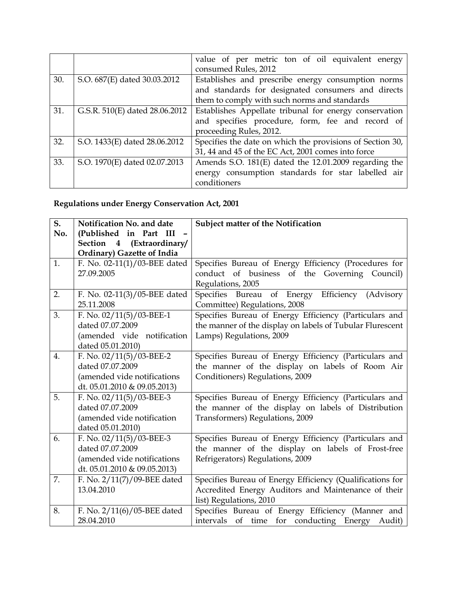|     |                                | value of per metric ton of oil equivalent energy          |  |  |  |  |  |
|-----|--------------------------------|-----------------------------------------------------------|--|--|--|--|--|
|     |                                | consumed Rules, 2012                                      |  |  |  |  |  |
| 30. | S.O. 687(E) dated 30.03.2012   | Establishes and prescribe energy consumption norms        |  |  |  |  |  |
|     |                                | and standards for designated consumers and directs        |  |  |  |  |  |
|     |                                | them to comply with such norms and standards              |  |  |  |  |  |
| 31. | G.S.R. 510(E) dated 28.06.2012 | Establishes Appellate tribunal for energy conservation    |  |  |  |  |  |
|     |                                | and specifies procedure, form, fee and record of          |  |  |  |  |  |
|     |                                | proceeding Rules, 2012.                                   |  |  |  |  |  |
| 32. | S.O. 1433(E) dated 28.06.2012  | Specifies the date on which the provisions of Section 30, |  |  |  |  |  |
|     |                                | 31, 44 and 45 of the EC Act, 2001 comes into force        |  |  |  |  |  |
| 33. | S.O. 1970(E) dated 02.07.2013  | Amends S.O. 181(E) dated the 12.01.2009 regarding the     |  |  |  |  |  |
|     |                                | energy consumption standards for star labelled air        |  |  |  |  |  |
|     |                                | conditioners                                              |  |  |  |  |  |

## **Regulations under Energy Conservation Act, 2001**

| S <sub>1</sub> | Notification No. and date       | Subject matter of the Notification                        |  |  |  |  |  |
|----------------|---------------------------------|-----------------------------------------------------------|--|--|--|--|--|
| No.            | (Published in Part III          |                                                           |  |  |  |  |  |
|                | Section 4 (Extraordinary/       |                                                           |  |  |  |  |  |
|                | Ordinary) Gazette of India      |                                                           |  |  |  |  |  |
| 1.             | F. No. $02-11(1)/03$ -BEE dated | Specifies Bureau of Energy Efficiency (Procedures for     |  |  |  |  |  |
|                | 27.09.2005                      | conduct of business of the Governing Council)             |  |  |  |  |  |
|                |                                 | Regulations, 2005                                         |  |  |  |  |  |
| 2.             | F. No. $02-11(3)/05$ -BEE dated | Specifies Bureau of Energy Efficiency (Advisory           |  |  |  |  |  |
|                | 25.11.2008                      | Committee) Regulations, 2008                              |  |  |  |  |  |
| 3.             | F. No. $02/11(5)/03$ -BEE-1     | Specifies Bureau of Energy Efficiency (Particulars and    |  |  |  |  |  |
|                | dated 07.07.2009                | the manner of the display on labels of Tubular Flurescent |  |  |  |  |  |
|                | (amended vide notification      | Lamps) Regulations, 2009                                  |  |  |  |  |  |
|                | dated 05.01.2010)               |                                                           |  |  |  |  |  |
| 4.             | F. No. $02/11(5)/03$ -BEE-2     | Specifies Bureau of Energy Efficiency (Particulars and    |  |  |  |  |  |
|                | dated 07.07.2009                | the manner of the display on labels of Room Air           |  |  |  |  |  |
|                | (amended vide notifications     | Conditioners) Regulations, 2009                           |  |  |  |  |  |
|                | dt. 05.01.2010 & 09.05.2013)    |                                                           |  |  |  |  |  |
| 5.             | F. No. $02/11(5)/03$ -BEE-3     | Specifies Bureau of Energy Efficiency (Particulars and    |  |  |  |  |  |
|                | dated 07.07.2009                | the manner of the display on labels of Distribution       |  |  |  |  |  |
|                | (amended vide notification      | Transformers) Regulations, 2009                           |  |  |  |  |  |
|                | dated 05.01.2010)               |                                                           |  |  |  |  |  |
| 6.             | F. No. $02/11(5)/03$ -BEE-3     | Specifies Bureau of Energy Efficiency (Particulars and    |  |  |  |  |  |
|                | dated 07.07.2009                | the manner of the display on labels of Frost-free         |  |  |  |  |  |
|                | (amended vide notifications     | Refrigerators) Regulations, 2009                          |  |  |  |  |  |
|                | dt. 05.01.2010 & 09.05.2013)    |                                                           |  |  |  |  |  |
| 7.             | F. No. 2/11(7)/09-BEE dated     | Specifies Bureau of Energy Efficiency (Qualifications for |  |  |  |  |  |
|                | 13.04.2010                      | Accredited Energy Auditors and Maintenance of their       |  |  |  |  |  |
|                |                                 | list) Regulations, 2010                                   |  |  |  |  |  |
| 8.             | F. No. 2/11(6)/05-BEE dated     | Specifies Bureau of Energy Efficiency (Manner and         |  |  |  |  |  |
|                | 28.04.2010                      | intervals of time for conducting Energy Audit)            |  |  |  |  |  |